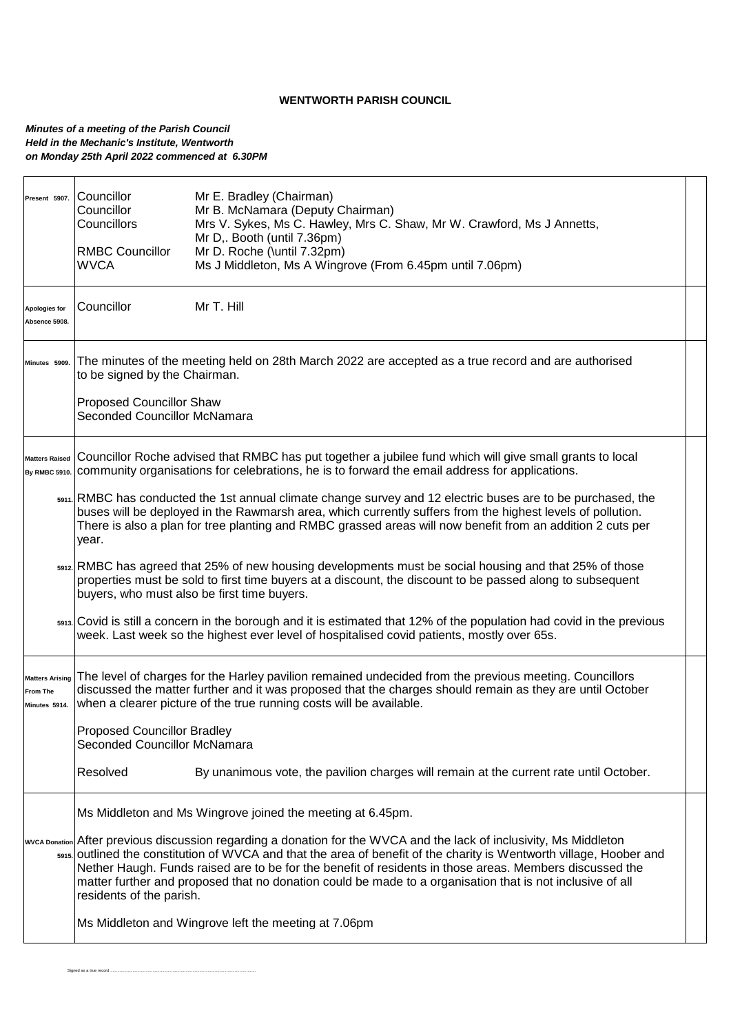## **WENTWORTH PARISH COUNCIL**

## *Minutes of a meeting of the Parish Council Held in the Mechanic's Institute, Wentworth on Monday 25th April 2022 commenced at 6.30PM*

Signed as a true record ...............

| Present 5907.                                       | Councillor<br>Councillor<br>Councillors<br><b>RMBC Councillor</b><br><b>WVCA</b>                                                                                                                                                                                                                                                                  | Mr E. Bradley (Chairman)<br>Mr B. McNamara (Deputy Chairman)<br>Mrs V. Sykes, Ms C. Hawley, Mrs C. Shaw, Mr W. Crawford, Ms J Annetts,<br>Mr D,. Booth (until 7.36pm)<br>Mr D. Roche (\until 7.32pm)<br>Ms J Middleton, Ms A Wingrove (From 6.45pm until 7.06pm)                                                                                                                                                                                                    |  |  |  |  |  |
|-----------------------------------------------------|---------------------------------------------------------------------------------------------------------------------------------------------------------------------------------------------------------------------------------------------------------------------------------------------------------------------------------------------------|---------------------------------------------------------------------------------------------------------------------------------------------------------------------------------------------------------------------------------------------------------------------------------------------------------------------------------------------------------------------------------------------------------------------------------------------------------------------|--|--|--|--|--|
| Apologies for<br>Absence 5908.                      | Councillor                                                                                                                                                                                                                                                                                                                                        | Mr T. Hill                                                                                                                                                                                                                                                                                                                                                                                                                                                          |  |  |  |  |  |
| Minutes 5909.                                       | The minutes of the meeting held on 28th March 2022 are accepted as a true record and are authorised<br>to be signed by the Chairman.                                                                                                                                                                                                              |                                                                                                                                                                                                                                                                                                                                                                                                                                                                     |  |  |  |  |  |
|                                                     | <b>Proposed Councillor Shaw</b><br>Seconded Councillor McNamara                                                                                                                                                                                                                                                                                   |                                                                                                                                                                                                                                                                                                                                                                                                                                                                     |  |  |  |  |  |
| <b>Matters Raised</b>                               | Councillor Roche advised that RMBC has put together a jubilee fund which will give small grants to local<br>By RMBC 5910. COMMunity organisations for celebrations, he is to forward the email address for applications.                                                                                                                          |                                                                                                                                                                                                                                                                                                                                                                                                                                                                     |  |  |  |  |  |
|                                                     | s911. RMBC has conducted the 1st annual climate change survey and 12 electric buses are to be purchased, the<br>buses will be deployed in the Rawmarsh area, which currently suffers from the highest levels of pollution.<br>There is also a plan for tree planting and RMBC grassed areas will now benefit from an addition 2 cuts per<br>year. |                                                                                                                                                                                                                                                                                                                                                                                                                                                                     |  |  |  |  |  |
|                                                     | 5912. RMBC has agreed that 25% of new housing developments must be social housing and that 25% of those<br>properties must be sold to first time buyers at a discount, the discount to be passed along to subsequent<br>buyers, who must also be first time buyers.                                                                               |                                                                                                                                                                                                                                                                                                                                                                                                                                                                     |  |  |  |  |  |
|                                                     | s913. Covid is still a concern in the borough and it is estimated that 12% of the population had covid in the previous<br>week. Last week so the highest ever level of hospitalised covid patients, mostly over 65s.                                                                                                                              |                                                                                                                                                                                                                                                                                                                                                                                                                                                                     |  |  |  |  |  |
| <b>Matters Arising</b><br>From The<br>Minutes 5914. | The level of charges for the Harley pavilion remained undecided from the previous meeting. Councillors<br>discussed the matter further and it was proposed that the charges should remain as they are until October<br>when a clearer picture of the true running costs will be available.                                                        |                                                                                                                                                                                                                                                                                                                                                                                                                                                                     |  |  |  |  |  |
|                                                     | <b>Proposed Councillor Bradley</b><br>Seconded Councillor McNamara                                                                                                                                                                                                                                                                                |                                                                                                                                                                                                                                                                                                                                                                                                                                                                     |  |  |  |  |  |
|                                                     | Resolved                                                                                                                                                                                                                                                                                                                                          | By unanimous vote, the pavilion charges will remain at the current rate until October.                                                                                                                                                                                                                                                                                                                                                                              |  |  |  |  |  |
|                                                     | Ms Middleton and Ms Wingrove joined the meeting at 6.45pm.                                                                                                                                                                                                                                                                                        |                                                                                                                                                                                                                                                                                                                                                                                                                                                                     |  |  |  |  |  |
|                                                     | residents of the parish.                                                                                                                                                                                                                                                                                                                          | wvca Donation After previous discussion regarding a donation for the WVCA and the lack of inclusivity, Ms Middleton<br>s915. outlined the constitution of WVCA and that the area of benefit of the charity is Wentworth village, Hoober and<br>Nether Haugh. Funds raised are to be for the benefit of residents in those areas. Members discussed the<br>matter further and proposed that no donation could be made to a organisation that is not inclusive of all |  |  |  |  |  |
|                                                     |                                                                                                                                                                                                                                                                                                                                                   | Ms Middleton and Wingrove left the meeting at 7.06pm                                                                                                                                                                                                                                                                                                                                                                                                                |  |  |  |  |  |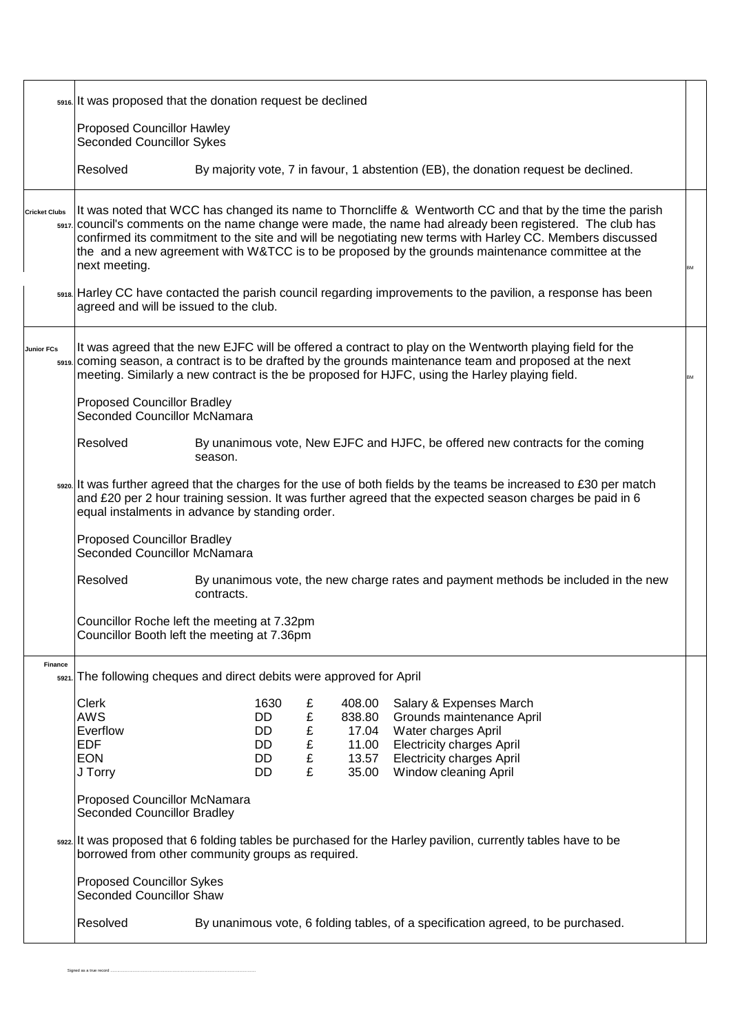|                      | 5916. It was proposed that the donation request be declined                                                                                                                                                                                                                                                                                                                                                                                                  |                                     |                            |                                                      |                                                                                                                                                                              |  |  |  |  |  |  |
|----------------------|--------------------------------------------------------------------------------------------------------------------------------------------------------------------------------------------------------------------------------------------------------------------------------------------------------------------------------------------------------------------------------------------------------------------------------------------------------------|-------------------------------------|----------------------------|------------------------------------------------------|------------------------------------------------------------------------------------------------------------------------------------------------------------------------------|--|--|--|--|--|--|
|                      | <b>Proposed Councillor Hawley</b><br><b>Seconded Councillor Sykes</b>                                                                                                                                                                                                                                                                                                                                                                                        |                                     |                            |                                                      |                                                                                                                                                                              |  |  |  |  |  |  |
|                      | Resolved                                                                                                                                                                                                                                                                                                                                                                                                                                                     |                                     |                            |                                                      | By majority vote, 7 in favour, 1 abstention (EB), the donation request be declined.                                                                                          |  |  |  |  |  |  |
| <b>Cricket Clubs</b> | It was noted that WCC has changed its name to Thorncliffe & Wentworth CC and that by the time the parish<br>s917. Council's comments on the name change were made, the name had already been registered. The club has<br>confirmed its commitment to the site and will be negotiating new terms with Harley CC. Members discussed<br>the and a new agreement with W&TCC is to be proposed by the grounds maintenance committee at the<br>next meeting.<br>BM |                                     |                            |                                                      |                                                                                                                                                                              |  |  |  |  |  |  |
|                      | s918. Harley CC have contacted the parish council regarding improvements to the pavilion, a response has been<br>agreed and will be issued to the club.                                                                                                                                                                                                                                                                                                      |                                     |                            |                                                      |                                                                                                                                                                              |  |  |  |  |  |  |
| <b>Junior FCs</b>    | It was agreed that the new EJFC will be offered a contract to play on the Wentworth playing field for the<br>s919. Coming season, a contract is to be drafted by the grounds maintenance team and proposed at the next<br>meeting. Similarly a new contract is the be proposed for HJFC, using the Harley playing field.<br>BM                                                                                                                               |                                     |                            |                                                      |                                                                                                                                                                              |  |  |  |  |  |  |
|                      | <b>Proposed Councillor Bradley</b><br>Seconded Councillor McNamara                                                                                                                                                                                                                                                                                                                                                                                           |                                     |                            |                                                      |                                                                                                                                                                              |  |  |  |  |  |  |
|                      | Resolved                                                                                                                                                                                                                                                                                                                                                                                                                                                     | season.                             |                            |                                                      | By unanimous vote, New EJFC and HJFC, be offered new contracts for the coming                                                                                                |  |  |  |  |  |  |
|                      | sszo. It was further agreed that the charges for the use of both fields by the teams be increased to £30 per match<br>and £20 per 2 hour training session. It was further agreed that the expected season charges be paid in 6<br>equal instalments in advance by standing order.                                                                                                                                                                            |                                     |                            |                                                      |                                                                                                                                                                              |  |  |  |  |  |  |
|                      | <b>Proposed Councillor Bradley</b><br><b>Seconded Councillor McNamara</b>                                                                                                                                                                                                                                                                                                                                                                                    |                                     |                            |                                                      |                                                                                                                                                                              |  |  |  |  |  |  |
|                      | Resolved<br>By unanimous vote, the new charge rates and payment methods be included in the new<br>contracts.                                                                                                                                                                                                                                                                                                                                                 |                                     |                            |                                                      |                                                                                                                                                                              |  |  |  |  |  |  |
|                      | Councillor Roche left the meeting at 7.32pm<br>Councillor Booth left the meeting at 7.36pm                                                                                                                                                                                                                                                                                                                                                                   |                                     |                            |                                                      |                                                                                                                                                                              |  |  |  |  |  |  |
| <b>Finance</b>       | 5921. The following cheques and direct debits were approved for April                                                                                                                                                                                                                                                                                                                                                                                        |                                     |                            |                                                      |                                                                                                                                                                              |  |  |  |  |  |  |
|                      | Clerk<br><b>AWS</b><br>Everflow<br><b>EDF</b><br><b>EON</b><br>J Torry                                                                                                                                                                                                                                                                                                                                                                                       | 1630<br>DD<br>DD.<br>DD<br>DD<br>DD | £<br>£<br>£<br>£<br>£<br>£ | 408.00<br>838.80<br>17.04<br>11.00<br>13.57<br>35.00 | Salary & Expenses March<br>Grounds maintenance April<br>Water charges April<br><b>Electricity charges April</b><br><b>Electricity charges April</b><br>Window cleaning April |  |  |  |  |  |  |
|                      | <b>Proposed Councillor McNamara</b><br>Seconded Councillor Bradley                                                                                                                                                                                                                                                                                                                                                                                           |                                     |                            |                                                      |                                                                                                                                                                              |  |  |  |  |  |  |
|                      | ss22. It was proposed that 6 folding tables be purchased for the Harley pavilion, currently tables have to be<br>borrowed from other community groups as required.                                                                                                                                                                                                                                                                                           |                                     |                            |                                                      |                                                                                                                                                                              |  |  |  |  |  |  |
|                      | <b>Proposed Councillor Sykes</b><br><b>Seconded Councillor Shaw</b>                                                                                                                                                                                                                                                                                                                                                                                          |                                     |                            |                                                      |                                                                                                                                                                              |  |  |  |  |  |  |
|                      | Resolved<br>By unanimous vote, 6 folding tables, of a specification agreed, to be purchased.                                                                                                                                                                                                                                                                                                                                                                 |                                     |                            |                                                      |                                                                                                                                                                              |  |  |  |  |  |  |

Signed as a true record ...........